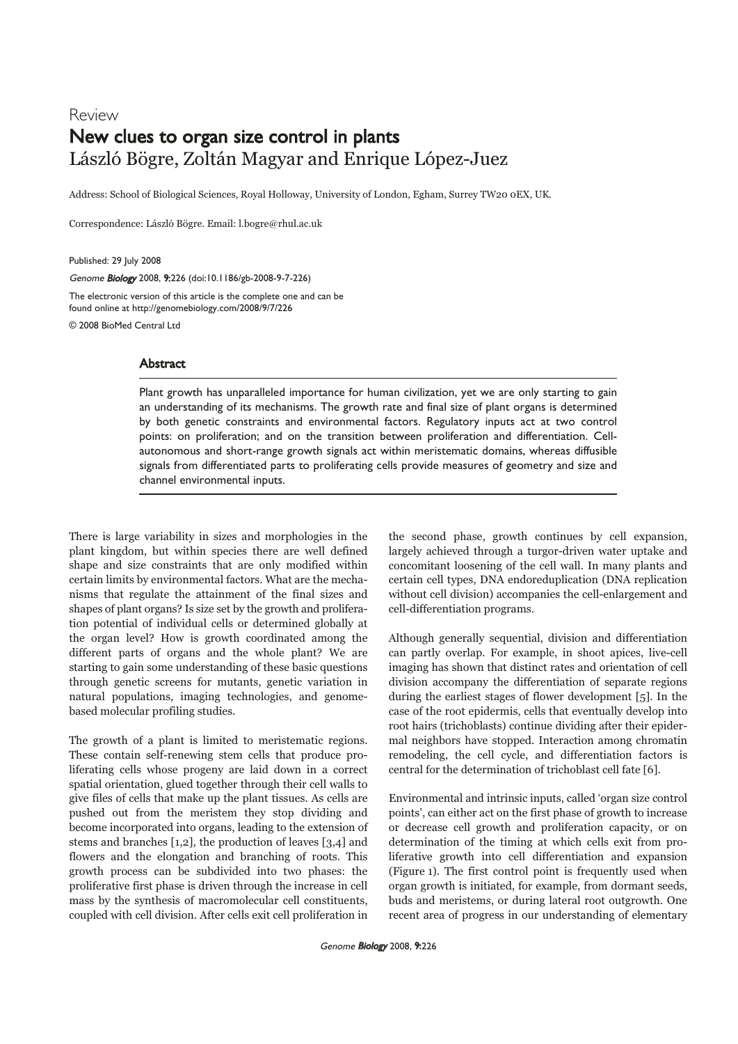# Review New clues to organ size control in plants László Bögre, Zoltán Magyar and Enrique López-Juez

Address: School of Biological Sciences, Royal Holloway, University of London, Egham, Surrey TW20 0EX, UK.

Correspondence: László Bögre. Email: l.bogre@rhul.ac.uk

Published: 29 July 2008

Genome Biology 2008, 9:226 (doi:10.1186/gb-2008-9-7-226)

The electronic version of this article is the complete one and can be found online at http://genomebiology.com/2008/9/7/226

© 2008 BioMed Central Ltd

### **Abstract**

Plant growth has unparalleled importance for human civilization, yet we are only starting to gain an understanding of its mechanisms. The growth rate and final size of plant organs is determined by both genetic constraints and environmental factors. Regulatory inputs act at two control points: on proliferation; and on the transition between proliferation and differentiation. Cellautonomous and short-range growth signals act within meristematic domains, whereas diffusible signals from differentiated parts to proliferating cells provide measures of geometry and size and channel environmental inputs.

There is large variability in sizes and morphologies in the plant kingdom, but within species there are well defined shape and size constraints that are only modified within certain limits by environmental factors. What are the mechanisms that regulate the attainment of the final sizes and shapes of plant organs? Is size set by the growth and proliferation potential of individual cells or determined globally at the organ level? How is growth coordinated among the different parts of organs and the whole plant? We are starting to gain some understanding of these basic questions through genetic screens for mutants, genetic variation in natural populations, imaging technologies, and genomebased molecular profiling studies.

The growth of a plant is limited to meristematic regions. These contain self-renewing stem cells that produce proliferating cells whose progeny are laid down in a correct spatial orientation, glued together through their cell walls to give files of cells that make up the plant tissues. As cells are pushed out from the meristem they stop dividing and become incorporated into organs, leading to the extension of stems and branches [1,2], the production of leaves [3,4] and flowers and the elongation and branching of roots. This growth process can be subdivided into two phases: the proliferative first phase is driven through the increase in cell mass by the synthesis of macromolecular cell constituents, coupled with cell division. After cells exit cell proliferation in

the second phase, growth continues by cell expansion, largely achieved through a turgor-driven water uptake and concomitant loosening of the cell wall. In many plants and certain cell types, DNA endoreduplication (DNA replication without cell division) accompanies the cell-enlargement and cell-differentiation programs.

Although generally sequential, division and differentiation can partly overlap. For example, in shoot apices, live-cell imaging has shown that distinct rates and orientation of cell division accompany the differentiation of separate regions during the earliest stages of flower development [5]. In the case of the root epidermis, cells that eventually develop into root hairs (trichoblasts) continue dividing after their epidermal neighbors have stopped. Interaction among chromatin remodeling, the cell cycle, and differentiation factors is central for the determination of trichoblast cell fate [6].

Environmental and intrinsic inputs, called 'organ size control points', can either act on the first phase of growth to increase or decrease cell growth and proliferation capacity, or on determination of the timing at which cells exit from proliferative growth into cell differentiation and expansion (Figure 1). The first control point is frequently used when organ growth is initiated, for example, from dormant seeds, buds and meristems, or during lateral root outgrowth. One recent area of progress in our understanding of elementary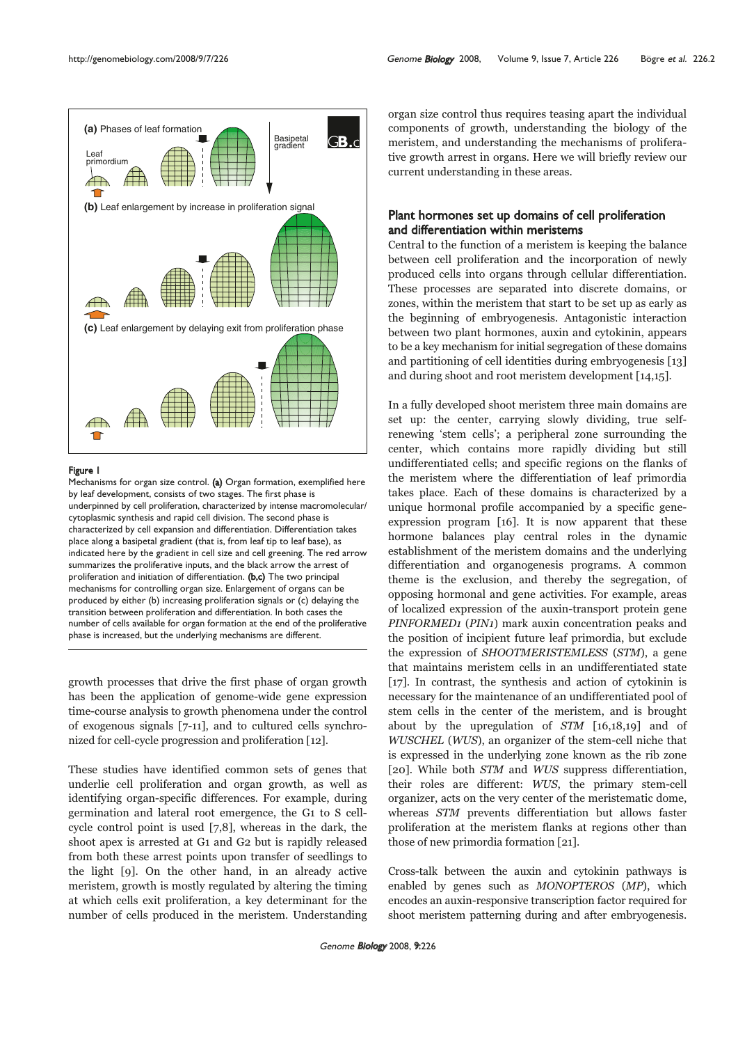

#### Figure 1

Mechanisms for organ size control. (a) Organ formation, exemplified here by leaf development, consists of two stages. The first phase is underpinned by cell proliferation, characterized by intense macromolecular/ cytoplasmic synthesis and rapid cell division. The second phase is characterized by cell expansion and differentiation. Differentiation takes place along a basipetal gradient (that is, from leaf tip to leaf base), as indicated here by the gradient in cell size and cell greening. The red arrow summarizes the proliferative inputs, and the black arrow the arrest of proliferation and initiation of differentiation. (b,c) The two principal mechanisms for controlling organ size. Enlargement of organs can be produced by either (b) increasing proliferation signals or (c) delaying the transition between proliferation and differentiation. In both cases the number of cells available for organ formation at the end of the proliferative phase is increased, but the underlying mechanisms are different.

growth processes that drive the first phase of organ growth has been the application of genome-wide gene expression time-course analysis to growth phenomena under the control of exogenous signals [7-11], and to cultured cells synchronized for cell-cycle progression and proliferation [12].

These studies have identified common sets of genes that underlie cell proliferation and organ growth, as well as identifying organ-specific differences. For example, during germination and lateral root emergence, the G1 to S cellcycle control point is used [7,8], whereas in the dark, the shoot apex is arrested at G1 and G2 but is rapidly released from both these arrest points upon transfer of seedlings to the light [9]. On the other hand, in an already active meristem, growth is mostly regulated by altering the timing at which cells exit proliferation, a key determinant for the number of cells produced in the meristem. Understanding

organ size control thus requires teasing apart the individual components of growth, understanding the biology of the meristem, and understanding the mechanisms of proliferative growth arrest in organs. Here we will briefly review our current understanding in these areas.

## Plant hormones set up domains of cell proliferation and differentiation within meristems

Central to the function of a meristem is keeping the balance between cell proliferation and the incorporation of newly produced cells into organs through cellular differentiation. These processes are separated into discrete domains, or zones, within the meristem that start to be set up as early as the beginning of embryogenesis. Antagonistic interaction between two plant hormones, auxin and cytokinin, appears to be a key mechanism for initial segregation of these domains and partitioning of cell identities during embryogenesis [13] and during shoot and root meristem development [14,15].

In a fully developed shoot meristem three main domains are set up: the center, carrying slowly dividing, true selfrenewing 'stem cells'; a peripheral zone surrounding the center, which contains more rapidly dividing but still undifferentiated cells; and specific regions on the flanks of the meristem where the differentiation of leaf primordia takes place. Each of these domains is characterized by a unique hormonal profile accompanied by a specific geneexpression program [16]. It is now apparent that these hormone balances play central roles in the dynamic establishment of the meristem domains and the underlying differentiation and organogenesis programs. A common theme is the exclusion, and thereby the segregation, of opposing hormonal and gene activities. For example, areas of localized expression of the auxin-transport protein gene PINFORMED1 (PIN1) mark auxin concentration peaks and the position of incipient future leaf primordia, but exclude the expression of SHOOTMERISTEMLESS (STM), a gene that maintains meristem cells in an undifferentiated state [17]. In contrast, the synthesis and action of cytokinin is necessary for the maintenance of an undifferentiated pool of stem cells in the center of the meristem, and is brought about by the upregulation of STM [16,18,19] and of WUSCHEL (WUS), an organizer of the stem-cell niche that is expressed in the underlying zone known as the rib zone [20]. While both *STM* and *WUS* suppress differentiation, their roles are different: WUS, the primary stem-cell organizer, acts on the very center of the meristematic dome, whereas STM prevents differentiation but allows faster proliferation at the meristem flanks at regions other than those of new primordia formation [21].

Cross-talk between the auxin and cytokinin pathways is enabled by genes such as MONOPTEROS (MP), which encodes an auxin-responsive transcription factor required for shoot meristem patterning during and after embryogenesis.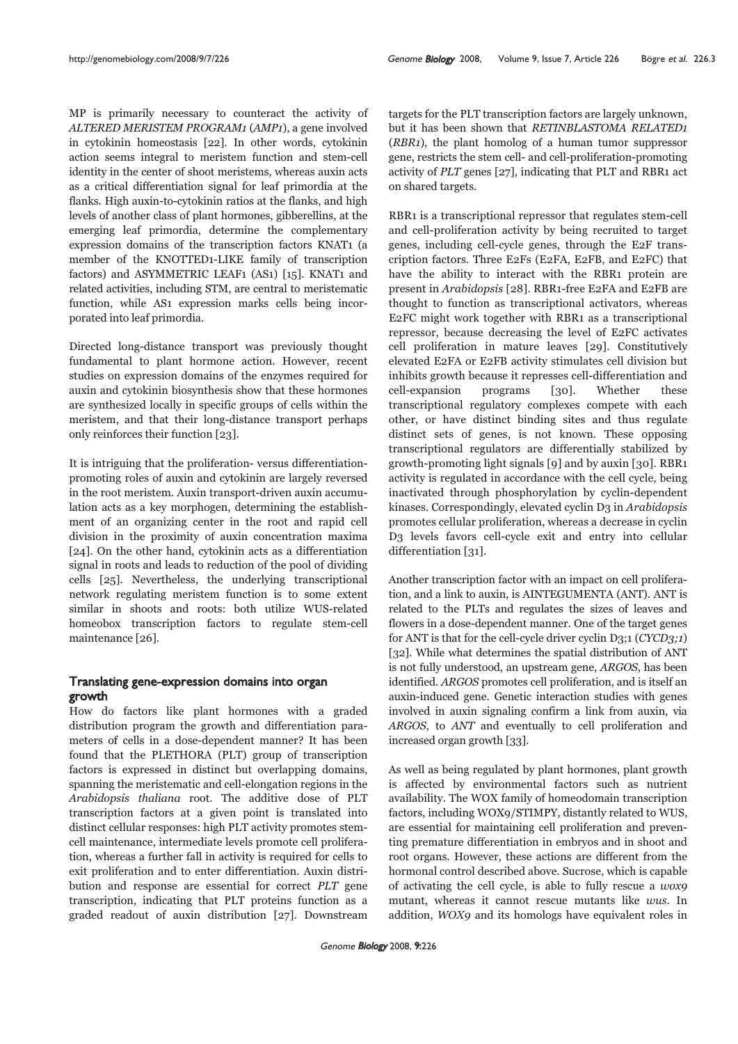MP is primarily necessary to counteract the activity of ALTERED MERISTEM PROGRAM1 (AMP1), a gene involved in cytokinin homeostasis [22]. In other words, cytokinin action seems integral to meristem function and stem-cell identity in the center of shoot meristems, whereas auxin acts as a critical differentiation signal for leaf primordia at the flanks. High auxin-to-cytokinin ratios at the flanks, and high levels of another class of plant hormones, gibberellins, at the emerging leaf primordia, determine the complementary expression domains of the transcription factors KNAT1 (a member of the KNOTTED1-LIKE family of transcription factors) and ASYMMETRIC LEAF1 (AS1) [15]. KNAT1 and related activities, including STM, are central to meristematic function, while AS1 expression marks cells being incorporated into leaf primordia.

Directed long-distance transport was previously thought fundamental to plant hormone action. However, recent studies on expression domains of the enzymes required for auxin and cytokinin biosynthesis show that these hormones are synthesized locally in specific groups of cells within the meristem, and that their long-distance transport perhaps only reinforces their function [23].

It is intriguing that the proliferation- versus differentiationpromoting roles of auxin and cytokinin are largely reversed in the root meristem. Auxin transport-driven auxin accumulation acts as a key morphogen, determining the establishment of an organizing center in the root and rapid cell division in the proximity of auxin concentration maxima [24]. On the other hand, cytokinin acts as a differentiation signal in roots and leads to reduction of the pool of dividing cells [25]. Nevertheless, the underlying transcriptional network regulating meristem function is to some extent similar in shoots and roots: both utilize WUS-related homeobox transcription factors to regulate stem-cell maintenance [26].

## Translating gene-expression domains into organ growth

How do factors like plant hormones with a graded distribution program the growth and differentiation parameters of cells in a dose-dependent manner? It has been found that the PLETHORA (PLT) group of transcription factors is expressed in distinct but overlapping domains, spanning the meristematic and cell-elongation regions in the Arabidopsis thaliana root. The additive dose of PLT transcription factors at a given point is translated into distinct cellular responses: high PLT activity promotes stemcell maintenance, intermediate levels promote cell proliferation, whereas a further fall in activity is required for cells to exit proliferation and to enter differentiation. Auxin distribution and response are essential for correct PLT gene transcription, indicating that PLT proteins function as a graded readout of auxin distribution [27]. Downstream targets for the PLT transcription factors are largely unknown, but it has been shown that RETINBLASTOMA RELATED1 (RBR1), the plant homolog of a human tumor suppressor gene, restricts the stem cell- and cell-proliferation-promoting activity of PLT genes [27], indicating that PLT and RBR1 act on shared targets.

RBR1 is a transcriptional repressor that regulates stem-cell and cell-proliferation activity by being recruited to target genes, including cell-cycle genes, through the E2F transcription factors. Three E2Fs (E2FA, E2FB, and E2FC) that have the ability to interact with the RBR1 protein are present in Arabidopsis [28]. RBR1-free E2FA and E2FB are thought to function as transcriptional activators, whereas E2FC might work together with RBR1 as a transcriptional repressor, because decreasing the level of E2FC activates cell proliferation in mature leaves [29]. Constitutively elevated E2FA or E2FB activity stimulates cell division but inhibits growth because it represses cell-differentiation and cell-expansion programs [30]. Whether these transcriptional regulatory complexes compete with each other, or have distinct binding sites and thus regulate distinct sets of genes, is not known. These opposing transcriptional regulators are differentially stabilized by growth-promoting light signals [9] and by auxin [30]. RBR1 activity is regulated in accordance with the cell cycle, being inactivated through phosphorylation by cyclin-dependent kinases. Correspondingly, elevated cyclin D3 in Arabidopsis promotes cellular proliferation, whereas a decrease in cyclin D3 levels favors cell-cycle exit and entry into cellular differentiation [31].

Another transcription factor with an impact on cell proliferation, and a link to auxin, is AINTEGUMENTA (ANT). ANT is related to the PLTs and regulates the sizes of leaves and flowers in a dose-dependent manner. One of the target genes for ANT is that for the cell-cycle driver cyclin D3;1 (CYCD3;1) [32]. While what determines the spatial distribution of ANT is not fully understood, an upstream gene, ARGOS, has been identified. ARGOS promotes cell proliferation, and is itself an auxin-induced gene. Genetic interaction studies with genes involved in auxin signaling confirm a link from auxin, via ARGOS, to ANT and eventually to cell proliferation and increased organ growth [33].

As well as being regulated by plant hormones, plant growth is affected by environmental factors such as nutrient availability. The WOX family of homeodomain transcription factors, including WOX9/STIMPY, distantly related to WUS, are essential for maintaining cell proliferation and preventing premature differentiation in embryos and in shoot and root organs. However, these actions are different from the hormonal control described above. Sucrose, which is capable of activating the cell cycle, is able to fully rescue a wox9 mutant, whereas it cannot rescue mutants like wus. In addition, WOX9 and its homologs have equivalent roles in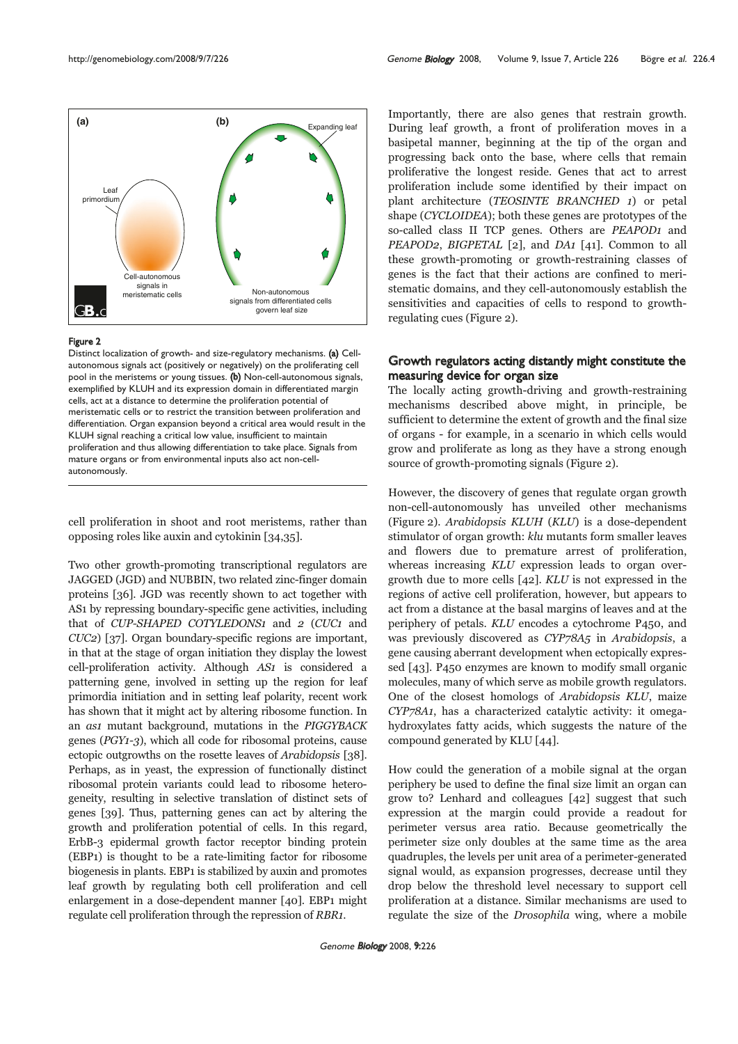

#### Figure 2

Distinct localization of growth- and size-regulatory mechanisms. (a) Cellautonomous signals act (positively or negatively) on the proliferating cell pool in the meristems or young tissues. (b) Non-cell-autonomous signals, exemplified by KLUH and its expression domain in differentiated margin cells, act at a distance to determine the proliferation potential of meristematic cells or to restrict the transition between proliferation and differentiation. Organ expansion beyond a critical area would result in the KLUH signal reaching a critical low value, insufficient to maintain proliferation and thus allowing differentiation to take place. Signals from mature organs or from environmental inputs also act non-cellautonomously.

cell proliferation in shoot and root meristems, rather than opposing roles like auxin and cytokinin [34,35].

Two other growth-promoting transcriptional regulators are JAGGED (JGD) and NUBBIN, two related zinc-finger domain proteins [36]. JGD was recently shown to act together with AS1 by repressing boundary-specific gene activities, including that of CUP-SHAPED COTYLEDONS1 and 2 (CUC1 and CUC2) [37]. Organ boundary-specific regions are important, in that at the stage of organ initiation they display the lowest cell-proliferation activity. Although AS1 is considered a patterning gene, involved in setting up the region for leaf primordia initiation and in setting leaf polarity, recent work has shown that it might act by altering ribosome function. In an as1 mutant background, mutations in the PIGGYBACK genes (PGY1-3), which all code for ribosomal proteins, cause ectopic outgrowths on the rosette leaves of Arabidopsis [38]. Perhaps, as in yeast, the expression of functionally distinct ribosomal protein variants could lead to ribosome heterogeneity, resulting in selective translation of distinct sets of genes [39]. Thus, patterning genes can act by altering the growth and proliferation potential of cells. In this regard, ErbB-3 epidermal growth factor receptor binding protein (EBP1) is thought to be a rate-limiting factor for ribosome biogenesis in plants. EBP1 is stabilized by auxin and promotes leaf growth by regulating both cell proliferation and cell enlargement in a dose-dependent manner [40]. EBP1 might regulate cell proliferation through the repression of RBR1.

Importantly, there are also genes that restrain growth. During leaf growth, a front of proliferation moves in a basipetal manner, beginning at the tip of the organ and progressing back onto the base, where cells that remain proliferative the longest reside. Genes that act to arrest proliferation include some identified by their impact on plant architecture (TEOSINTE BRANCHED 1) or petal shape (CYCLOIDEA); both these genes are prototypes of the so-called class II TCP genes. Others are PEAPOD1 and PEAPOD2, BIGPETAL [2], and DA1 [41]. Common to all these growth-promoting or growth-restraining classes of genes is the fact that their actions are confined to meristematic domains, and they cell-autonomously establish the sensitivities and capacities of cells to respond to growthregulating cues (Figure 2).

# Growth regulators acting distantly might constitute the measuring device for organ size

The locally acting growth-driving and growth-restraining mechanisms described above might, in principle, be sufficient to determine the extent of growth and the final size of organs - for example, in a scenario in which cells would grow and proliferate as long as they have a strong enough source of growth-promoting signals (Figure 2).

However, the discovery of genes that regulate organ growth non-cell-autonomously has unveiled other mechanisms (Figure 2). Arabidopsis KLUH (KLU) is a dose-dependent stimulator of organ growth: klu mutants form smaller leaves and flowers due to premature arrest of proliferation, whereas increasing KLU expression leads to organ overgrowth due to more cells [42]. KLU is not expressed in the regions of active cell proliferation, however, but appears to act from a distance at the basal margins of leaves and at the periphery of petals. KLU encodes a cytochrome P450, and was previously discovered as CYP78A5 in Arabidopsis, a gene causing aberrant development when ectopically expressed [43]. P450 enzymes are known to modify small organic molecules, many of which serve as mobile growth regulators. One of the closest homologs of Arabidopsis KLU, maize CYP78A1, has a characterized catalytic activity: it omegahydroxylates fatty acids, which suggests the nature of the compound generated by KLU [44].

How could the generation of a mobile signal at the organ periphery be used to define the final size limit an organ can grow to? Lenhard and colleagues [42] suggest that such expression at the margin could provide a readout for perimeter versus area ratio. Because geometrically the perimeter size only doubles at the same time as the area quadruples, the levels per unit area of a perimeter-generated signal would, as expansion progresses, decrease until they drop below the threshold level necessary to support cell proliferation at a distance. Similar mechanisms are used to regulate the size of the Drosophila wing, where a mobile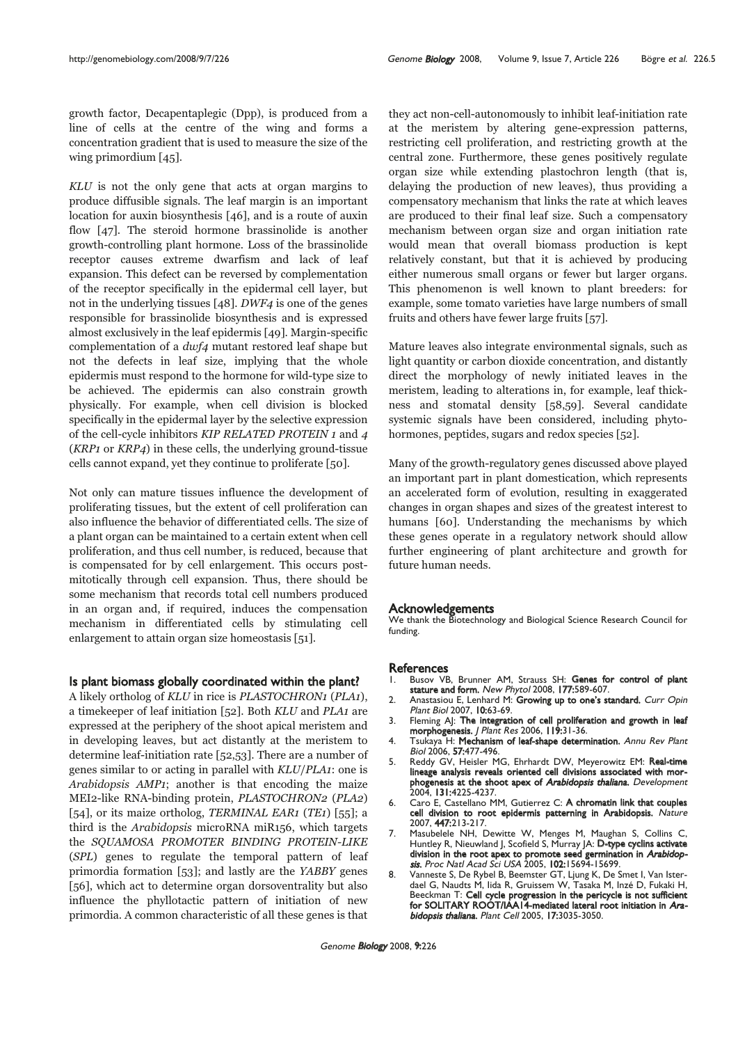growth factor, Decapentaplegic (Dpp), is produced from a line of cells at the centre of the wing and forms a concentration gradient that is used to measure the size of the wing primordium [45].

KLU is not the only gene that acts at organ margins to produce diffusible signals. The leaf margin is an important location for auxin biosynthesis [46], and is a route of auxin flow [47]. The steroid hormone brassinolide is another growth-controlling plant hormone. Loss of the brassinolide receptor causes extreme dwarfism and lack of leaf expansion. This defect can be reversed by complementation of the receptor specifically in the epidermal cell layer, but not in the underlying tissues [48]. DWF4 is one of the genes responsible for brassinolide biosynthesis and is expressed almost exclusively in the leaf epidermis [49]. Margin-specific complementation of a dwf4 mutant restored leaf shape but not the defects in leaf size, implying that the whole epidermis must respond to the hormone for wild-type size to be achieved. The epidermis can also constrain growth physically. For example, when cell division is blocked specifically in the epidermal layer by the selective expression of the cell-cycle inhibitors KIP RELATED PROTEIN 1 and 4 (KRP1 or KRP4) in these cells, the underlying ground-tissue cells cannot expand, yet they continue to proliferate [50].

Not only can mature tissues influence the development of proliferating tissues, but the extent of cell proliferation can also influence the behavior of differentiated cells. The size of a plant organ can be maintained to a certain extent when cell proliferation, and thus cell number, is reduced, because that is compensated for by cell enlargement. This occurs postmitotically through cell expansion. Thus, there should be some mechanism that records total cell numbers produced in an organ and, if required, induces the compensation mechanism in differentiated cells by stimulating cell enlargement to attain organ size homeostasis [51].

## Is plant biomass globally coordinated within the plant?

A likely ortholog of KLU in rice is PLASTOCHRON1 (PLA1), a timekeeper of leaf initiation [52]. Both KLU and PLA1 are expressed at the periphery of the shoot apical meristem and in developing leaves, but act distantly at the meristem to determine leaf-initiation rate [52,53]. There are a number of genes similar to or acting in parallel with KLU/PLA1: one is Arabidopsis AMP1; another is that encoding the maize MEI2-like RNA-binding protein, PLASTOCHRON2 (PLA2) [54], or its maize ortholog, *TERMINAL EAR1* (*TE1*) [55]; a third is the Arabidopsis microRNA miR156, which targets the SQUAMOSA PROMOTER BINDING PROTEIN-LIKE (SPL) genes to regulate the temporal pattern of leaf primordia formation [53]; and lastly are the YABBY genes [56], which act to determine organ dorsoventrality but also influence the phyllotactic pattern of initiation of new primordia. A common characteristic of all these genes is that they act non-cell-autonomously to inhibit leaf-initiation rate at the meristem by altering gene-expression patterns, restricting cell proliferation, and restricting growth at the central zone. Furthermore, these genes positively regulate organ size while extending plastochron length (that is, delaying the production of new leaves), thus providing a compensatory mechanism that links the rate at which leaves are produced to their final leaf size. Such a compensatory mechanism between organ size and organ initiation rate would mean that overall biomass production is kept relatively constant, but that it is achieved by producing either numerous small organs or fewer but larger organs. This phenomenon is well known to plant breeders: for example, some tomato varieties have large numbers of small fruits and others have fewer large fruits [57].

Mature leaves also integrate environmental signals, such as light quantity or carbon dioxide concentration, and distantly direct the morphology of newly initiated leaves in the meristem, leading to alterations in, for example, leaf thickness and stomatal density [58,59]. Several candidate systemic signals have been considered, including phytohormones, peptides, sugars and redox species [52].

Many of the growth-regulatory genes discussed above played an important part in plant domestication, which represents an accelerated form of evolution, resulting in exaggerated changes in organ shapes and sizes of the greatest interest to humans [60]. Understanding the mechanisms by which these genes operate in a regulatory network should allow further engineering of plant architecture and growth for future human needs.

# Acknowledgements

We thank the Biotechnology and Biological Science Research Council for funding.

#### References

- Busov VB, Brunner AM, Strauss SH: Genes for control of plant stature and form. New Phytol 2008, 177:589-607.
- 2. Anastasiou E, Lenhard M: Growing up to one's standard. Curr Opin Plant Biol 2007, 10:63-69.
- 3. Fleming AJ: The integration of cell proliferation and growth in leaf morphogenesis. *J Plant Res* 2006, 119:31-36.
- Tsukaya H: Mechanism of leaf-shape determination. Annu Rev Plant Biol 2006, 57:477-496.
- Reddy GV, Heisler MG, Ehrhardt DW, Meyerowitz EM: Real-time lineage analysis reveals oriented cell divisions associated with mornesis at the shoot apex of Arabidopsis thaliana. Development phogenesis at the sh<br>2004, 131:4225-4237
- 6. Caro E, Castellano MM, Gutierrez C: A chromatin link that couples cell division to root epidermis patterning in Arabidopsis. Nature 2007, 447:213-217.
- 7. Masubelele NH, Dewitte W, Menges M, Maughan S, Collins C, Huntley R, Nieuwland J, Scofield S, Murray JA: **D-type cyclins activate** division in the root apex to promote seed germination in Arabidopsis. Proc Natl Acad Sci USA 2005, 102:15694-15699.
- 8. Vanneste S, De Rybel B, Beemster GT, Ljung K, De Smet I, Van Isterdael G, Naudts M, Iida R, Gruissem W, Tasaka M, Inzé D, Fukaki H, Beeckman T: Cell cycle progression in the pericycle is not sufficient for SOLITARY ROOT/IAA14-mediated lateral root initiation in Arabidopsis thaliana. Plant Cell 2005, 17:3035-3050.

Genome Biology 2008, 9:226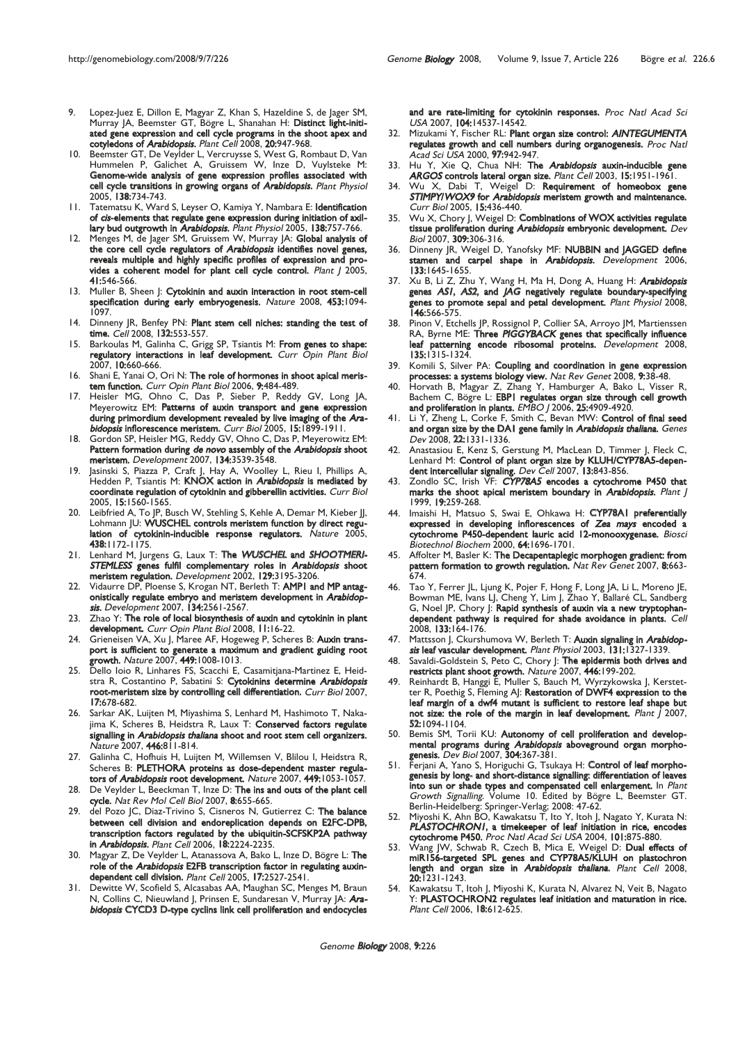- 9. Lopez-Juez E, Dillon E, Magyar Z, Khan S, Hazeldine S, de Jager SM, Murray JA, Beemster GT, Bögre L, Shanahan H: Distinct light-initiated gene expression and cell cycle programs in the shoot apex and cotyledons of Arabidopsis. Plant Cell 2008, 20:947-968.
- 10. Beemster GT, De Veylder L, Vercruysse S, West G, Rombaut D, Van Hummelen P, Galichet A, Gruissem W, Inze D, Vuylsteke M: Genome-wide analysis of gene expression profiles associated with cell cycle transitions in growing organs of Arabidopsis. Plant Physiol 2005, 138:734-743.
- 11. Tatematsu K, Ward S, Leyser O, Kamiya Y, Nambara E: Identification of cis-elements that regulate gene expression during initiation of axillary bud outgrowth in Arabidopsis. Plant Physiol 2005, 138:757-766.
- 12. Menges M, de Jager SM, Gruissem W, Murray JA: Global analysis of the core cell cycle regulators of Arabidopsis identifies novel genes, reveals multiple and highly specific profiles of expression and provides a coherent model for plant cell cycle control. Plant J 2005, 41:546-566.
- 13. Muller B, Sheen J: Cytokinin and auxin interaction in root stem-cell specification during early embryogenesis. Nature 2008, 453:1094- 1097.
- 14. Dinneny JR, Benfey PN: Plant stem cell niches: standing the test of time. Cell 2008, 132:553-557.
- 15. Barkoulas M, Galinha C, Grigg SP, Tsiantis M: From genes to shape: regulatory interactions in leaf development. Curr Opin Plant Biol 2007, 10:660-666.
- 16. Shani E, Yanai O, Ori N: The role of hormones in shoot apical meristem function. Curr Opin Plant Biol 2006, 9:484-489.
- Heisler MG, Ohno C, Das P, Sieber P, Reddy GV, Long JA, Meyerowitz EM: Patterns of auxin transport and gene expression during primordium development revealed by live imaging of the Arabidopsis inflorescence meristem. Curr Biol 2005, 15:1899-1911.
- 18. Gordon SP, Heisler MG, Reddy GV, Ohno C, Das P, Meyerowitz EM: Pattern formation during de novo assembly of the Arabidopsis shoot meristem. Development 2007, 134:3539-3548.
- 19. Jasinski S, Piazza P, Craft J, Hay A, Woolley L, Rieu I, Phillips A, Hedden P, Tsiantis M: KNOX action in Arabidopsis is mediated by coordinate regulation of cytokinin and gibberellin activities. Curr Biol 2005, 15:1560-1565.
- 20. Leibfried A, To JP, Busch W, Stehling S, Kehle A, Demar M, Kieber JJ, Lohmann JU: WUSCHEL controls meristem function by direct regulation of cytokinin-inducible response regulators. Nature 2005, 438:1172-1175.
- 21. Lenhard M, Jurgens G, Laux T: The WUSCHEL and SHOOTMERI-STEMLESS genes fulfil complementary roles in Arabidopsis shoot meristem regulation. Development 2002, 129:3195-3206.
- 22. Vidaurre DP, Ploense S, Krogan NT, Berleth T: AMPI and MP antagonistically regulate embryo and meristem development in Arabidop**sis.** Development 2007, **134:**2561-2567.
- Zhao Y: The role of local biosynthesis of auxin and cytokinin in plant development. Curr Opin Plant Biol 2008, 11:16-22.
- 24. Grieneisen VA, Xu J, Maree AF, Hogeweg P, Scheres B: Auxin transport is sufficient to generate a maximum and gradient guiding root **growth.** Nature 2007, 449:1008-1013.
- 25. Dello Ioio R, Linhares FS, Scacchi E, Casamitjana-Martinez E, Heidstra R, Costantino P, Sabatini S: Cytokinins determine Arabidopsis root-meristem size by controlling cell differentiation. Curr Biol 2007, 17:678-682.
- 26. Sarkar AK, Luijten M, Miyashima S, Lenhard M, Hashimoto T, Nakajima K, Scheres B, Heidstra R, Laux T: Conserved factors regulate signalling in Arabidopsis thaliana shoot and root stem cell organizers. Nature 2007, 446:811-814.
- 27. Galinha C, Hofhuis H, Luijten M, Willemsen V, Blilou I, Heidstra R, Scheres B: PLETHORA proteins as dose-dependent master regulators of Arabidopsis root development. Nature 2007, 449:1053-1057.
- De Veylder L, Beeckman T, Inze D: The ins and outs of the plant cell cycle. Nat Rev Mol Cell Biol 2007, 8:655-665.
- 29. del Pozo JC, Diaz-Trivino S, Cisneros N, Gutierrez C: The balance between cell division and endoreplication depends on E2FC-DPB, transcription factors regulated by the ubiquitin-SCFSKP2A pathway in Arabidopsis. Plant Cell 2006, 18:2224-2235.
- 30. Magyar Z, De Veylder L, Atanassova A, Bako L, Inze D, Bögre L: The role of the Arabidopsis E2FB transcription factor in regulating auxindependent cell division. Plant Cell 2005, 17:2527-2541.
- 31. Dewitte W, Scofield S, Alcasabas AA, Maughan SC, Menges M, Braun N, Collins C, Nieuwland J, Prinsen E, Sundaresan V, Murray JA: Arabidopsis CYCD3 D-type cyclins link cell proliferation and endocycles

and are rate-limiting for cytokinin responses. Proc Natl Acad Sci USA 2007, 104:14537-14542.

- 32. Mizukami Y, Fischer RL: Plant organ size control: AINTEGUMENTA regulates growth and cell numbers during organogenesis. Proc Natl Acad Sci USA 2000, **97:**942-947.
- 33. Hu Y, Xie Q, Chua NH: The Arabidopsis auxin-inducible gene ARGOS controls lateral organ size. Plant Cell 2003, 15:1951-1961.
- 34. Wu X, Dabi T, Weigel D: Requirement of homeobox gene STIMPY/WOX9 for Arabidopsis meristem growth and maintenance. Curr Biol 2005, 15:436-440.
- 35. Wu X, Chory J, Weigel D: Combinations of WOX activities regulate tissue proliferation during Arabidopsis embryonic development. Dev Biol 2007, 309:306-316.
- Dinneny JR, Weigel D, Yanofsky MF: NUBBIN and JAGGED define stamen and carpel shape in Arabidopsis. Development 2006, 133:1645-1655.
- 37. Xu B, Li Z, Zhu Y, Wang H, Ma H, Dong A, Huang H: Arabidopsis genes AS1, AS2, and JAG negatively regulate boundary-specifying genes to promote sepal and petal development. Plant Physiol 2008, genes  $\sim$  146:566-575.
- 38. Pinon V, Etchells JP, Rossignol P, Collier SA, Arroyo JM, Martienssen RA, Byrne ME: Three PIGGYBACK genes that specifically influence af patterning encode ribosomal proteins. Development 2008, 135:1315-1324.
- 39. Komili S, Silver PA: Coupling and coordination in gene expression processes: a systems biology view. Nat Rev Genet 2008, 9:38-48.
- 40. Horvath B, Magyar Z, Zhang Y, Hamburger A, Bako L, Visser R, Bachem C, Bögre L: EBPI regulates organ size through cell growth and proliferation in plants. EMBO J 2006, 25:4909-4920.
- 41. Li Y, Zheng L, Corke F, Smith C, Bevan MW: Control of final seed and organ size by the DA1 gene family in *Arabidopsis thaliana*. Genes Dev 2008, 22:1331-1336.
- 42. Anastasiou E, Kenz S, Gerstung M, MacLean D, Timmer J, Fleck C, Lenhard M: Control of plant organ size by KLUH/CYP78A5-dependent intercellular signaling. Dev Cell 2007, 13:843-856.
- 43. Zondlo SC, Irish VF: CYP78A5 encodes a cytochrome P450 that marks the shoot apical meristem boundary in Arabidopsis. Plant J 1999, 19:259-268.
- 44. Imaishi H, Matsuo S, Swai E, Ohkawa H: CYP78A1 preferentially expressed in developing inflorescences of Zea mays encoded a cytochrome P450-dependent lauric acid 12-monooxygenase. Biosci Biotechnol Biochem 2000, 64:1696-1701.
- 45. Affolter M, Basler K: The Decapentaplegic morphogen gradient: from pattern formation to growth regulation. Nat Rev Genet 2007, 8:663-674.
- 46. Tao Y, Ferrer JL, Ljung K, Pojer F, Hong F, Long JA, Li L, Moreno JE, Bowman ME, Ivans LJ, Cheng Y, Lim J, Zhao Y, Ballaré CL, Sandberg G, Noel JP, Chory J: Rapid synthesis of auxin via a new tryptophandependent pathway is required for shade avoidance in plants. Cell 2008, 133:164-176.
- 47. Mattsson J, Ckurshumova W, Berleth T: Auxin signaling in Arabidopsis leaf vascular development. Plant Physiol 2003, 131:1327-1339.
- 48. Savaldi-Goldstein S, Peto C, Chory J: The epidermis both drives and restricts plant shoot growth. Nature 2007, 446:199-202.
- Reinhardt B, Hanggi E, Muller S, Bauch M, Wyrzykowska J, Kerstetter R, Poethig S, Fleming AJ: Restoration of DWF4 expression to the leaf margin of a dwf4 mutant is sufficient to restore leaf shape but not size: the role of the margin in leaf development. Plant / 2007, 52:1094-1104.
- 50. Bemis SM, Torii KU: Autonomy of cell proliferation and developmental programs during Arabidopsis aboveground organ morphogenesis. Dev Biol 2007, 304:367-381.
- 51. Ferjani A, Yano S, Horiguchi G, Tsukaya H: Control of leaf morphoesis by long- and short-distance signalling: differentiation of leaves into sun or shade types and compensated cell enlargement. In Plant Growth Signalling. Volume 10. Edited by Bögre L, Beemster GT. Berlin-Heidelberg: Springer-Verlag; 2008: 47-62.
- 52. Miyoshi K, Ahn BO, Kawakatsu T, Ito Y, Itoh J, Nagato Y, Kurata N: PLASTOCHRON1, a timekeeper of leaf initiation in rice, encodes cytochrome P450. Proc Natl Acad Sci USA 2004, 101:875-880.
- 53. Wang JW, Schwab R, Czech B, Mica E, Weigel D: Dual effects of miR156-targeted SPL genes and CYP78A5/KLUH on plastochron length and organ size in Arabidopsis thaliana. Plant Cell 2008, 20:1231-1243.
- 54. Kawakatsu T, Itoh J, Miyoshi K, Kurata N, Alvarez N, Veit B, Nagato Y: PLASTOCHRON2 regulates leaf initiation and maturation in rice. Plant Cell 2006, 18:612-625.

Genome Biology 2008, 9:226